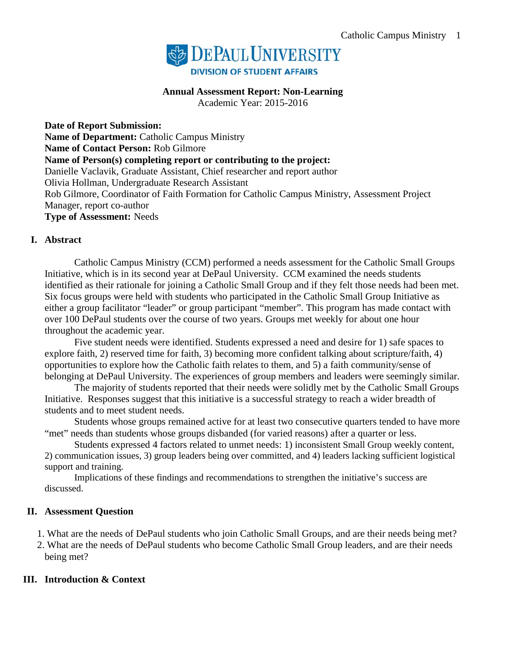

### **Annual Assessment Report: Non-Learning**

Academic Year: 2015-2016

**Date of Report Submission: Name of Department:** Catholic Campus Ministry **Name of Contact Person:** Rob Gilmore **Name of Person(s) completing report or contributing to the project:**  Danielle Vaclavik, Graduate Assistant, Chief researcher and report author Olivia Hollman, Undergraduate Research Assistant Rob Gilmore, Coordinator of Faith Formation for Catholic Campus Ministry, Assessment Project Manager, report co-author **Type of Assessment:** Needs

### **I. Abstract**

Catholic Campus Ministry (CCM) performed a needs assessment for the Catholic Small Groups Initiative, which is in its second year at DePaul University. CCM examined the needs students identified as their rationale for joining a Catholic Small Group and if they felt those needs had been met. Six focus groups were held with students who participated in the Catholic Small Group Initiative as either a group facilitator "leader" or group participant "member". This program has made contact with over 100 DePaul students over the course of two years. Groups met weekly for about one hour throughout the academic year.

Five student needs were identified. Students expressed a need and desire for 1) safe spaces to explore faith, 2) reserved time for faith, 3) becoming more confident talking about scripture/faith, 4) opportunities to explore how the Catholic faith relates to them, and 5) a faith community/sense of belonging at DePaul University. The experiences of group members and leaders were seemingly similar.

The majority of students reported that their needs were solidly met by the Catholic Small Groups Initiative. Responses suggest that this initiative is a successful strategy to reach a wider breadth of students and to meet student needs.

Students whose groups remained active for at least two consecutive quarters tended to have more "met" needs than students whose groups disbanded (for varied reasons) after a quarter or less.

Students expressed 4 factors related to unmet needs: 1) inconsistent Small Group weekly content, 2) communication issues, 3) group leaders being over committed, and 4) leaders lacking sufficient logistical support and training.

Implications of these findings and recommendations to strengthen the initiative's success are discussed.

#### **II. Assessment Question**

1. What are the needs of DePaul students who join Catholic Small Groups, and are their needs being met?

2. What are the needs of DePaul students who become Catholic Small Group leaders, and are their needs being met?

## **III. Introduction & Context**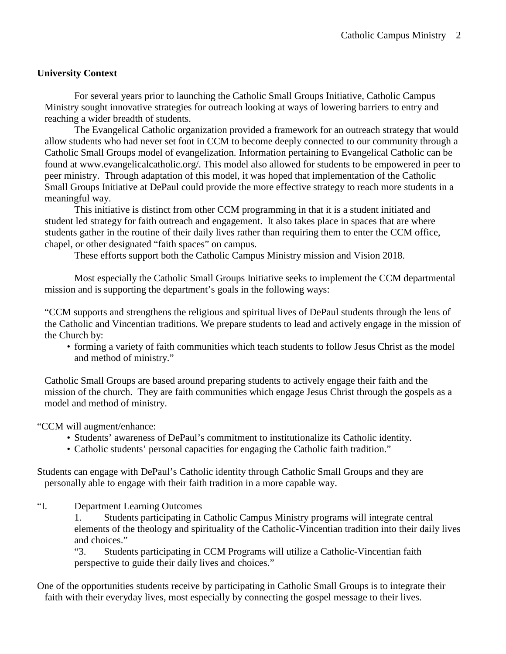## **University Context**

For several years prior to launching the Catholic Small Groups Initiative, Catholic Campus Ministry sought innovative strategies for outreach looking at ways of lowering barriers to entry and reaching a wider breadth of students.

The Evangelical Catholic organization provided a framework for an outreach strategy that would allow students who had never set foot in CCM to become deeply connected to our community through a Catholic Small Groups model of evangelization. Information pertaining to Evangelical Catholic can be found at [www.evangelicalcatholic.org/.](http://www.evangelicalcatholic.org/) This model also allowed for students to be empowered in peer to peer ministry. Through adaptation of this model, it was hoped that implementation of the Catholic Small Groups Initiative at DePaul could provide the more effective strategy to reach more students in a meaningful way.

This initiative is distinct from other CCM programming in that it is a student initiated and student led strategy for faith outreach and engagement. It also takes place in spaces that are where students gather in the routine of their daily lives rather than requiring them to enter the CCM office, chapel, or other designated "faith spaces" on campus.

These efforts support both the Catholic Campus Ministry mission and Vision 2018.

Most especially the Catholic Small Groups Initiative seeks to implement the CCM departmental mission and is supporting the department's goals in the following ways:

"CCM supports and strengthens the religious and spiritual lives of DePaul students through the lens of the Catholic and Vincentian traditions. We prepare students to lead and actively engage in the mission of the Church by:

• forming a variety of faith communities which teach students to follow Jesus Christ as the model and method of ministry."

Catholic Small Groups are based around preparing students to actively engage their faith and the mission of the church. They are faith communities which engage Jesus Christ through the gospels as a model and method of ministry.

"CCM will augment/enhance:

- Students' awareness of DePaul's commitment to institutionalize its Catholic identity.
- Catholic students' personal capacities for engaging the Catholic faith tradition."

Students can engage with DePaul's Catholic identity through Catholic Small Groups and they are personally able to engage with their faith tradition in a more capable way.

"I. Department Learning Outcomes

1. Students participating in Catholic Campus Ministry programs will integrate central elements of the theology and spirituality of the Catholic-Vincentian tradition into their daily lives and choices."

"3. Students participating in CCM Programs will utilize a Catholic-Vincentian faith perspective to guide their daily lives and choices."

One of the opportunities students receive by participating in Catholic Small Groups is to integrate their faith with their everyday lives, most especially by connecting the gospel message to their lives.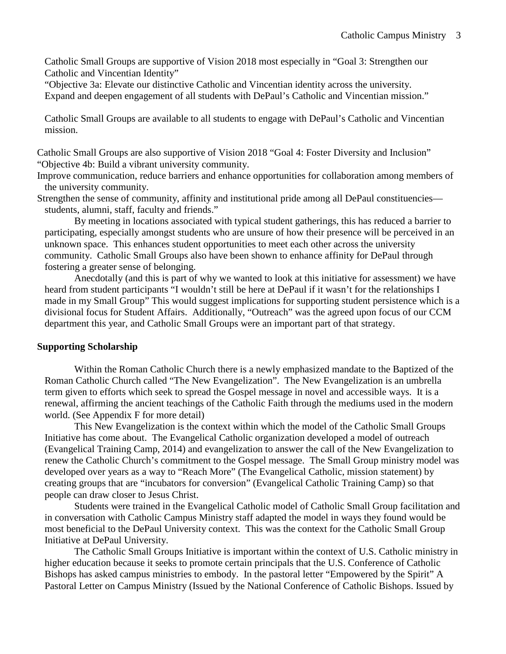Catholic Small Groups are supportive of Vision 2018 most especially in "Goal 3: Strengthen our Catholic and Vincentian Identity"

"Objective 3a: Elevate our distinctive Catholic and Vincentian identity across the university. Expand and deepen engagement of all students with DePaul's Catholic and Vincentian mission."

Catholic Small Groups are available to all students to engage with DePaul's Catholic and Vincentian mission.

Catholic Small Groups are also supportive of Vision 2018 "Goal 4: Foster Diversity and Inclusion" "Objective 4b: Build a vibrant university community.

Improve communication, reduce barriers and enhance opportunities for collaboration among members of the university community.

Strengthen the sense of community, affinity and institutional pride among all DePaul constituencies students, alumni, staff, faculty and friends."

By meeting in locations associated with typical student gatherings, this has reduced a barrier to participating, especially amongst students who are unsure of how their presence will be perceived in an unknown space. This enhances student opportunities to meet each other across the university community. Catholic Small Groups also have been shown to enhance affinity for DePaul through fostering a greater sense of belonging.

Anecdotally (and this is part of why we wanted to look at this initiative for assessment) we have heard from student participants "I wouldn't still be here at DePaul if it wasn't for the relationships I made in my Small Group" This would suggest implications for supporting student persistence which is a divisional focus for Student Affairs. Additionally, "Outreach" was the agreed upon focus of our CCM department this year, and Catholic Small Groups were an important part of that strategy.

#### **Supporting Scholarship**

Within the Roman Catholic Church there is a newly emphasized mandate to the Baptized of the Roman Catholic Church called "The New Evangelization". The New Evangelization is an umbrella term given to efforts which seek to spread the Gospel message in novel and accessible ways. It is a renewal, affirming the ancient teachings of the Catholic Faith through the mediums used in the modern world. (See Appendix F for more detail)

This New Evangelization is the context within which the model of the Catholic Small Groups Initiative has come about. The Evangelical Catholic organization developed a model of outreach (Evangelical Training Camp, 2014) and evangelization to answer the call of the New Evangelization to renew the Catholic Church's commitment to the Gospel message. The Small Group ministry model was developed over years as a way to "Reach More" (The Evangelical Catholic, mission statement) by creating groups that are "incubators for conversion" (Evangelical Catholic Training Camp) so that people can draw closer to Jesus Christ.

Students were trained in the Evangelical Catholic model of Catholic Small Group facilitation and in conversation with Catholic Campus Ministry staff adapted the model in ways they found would be most beneficial to the DePaul University context. This was the context for the Catholic Small Group Initiative at DePaul University.

The Catholic Small Groups Initiative is important within the context of U.S. Catholic ministry in higher education because it seeks to promote certain principals that the U.S. Conference of Catholic Bishops has asked campus ministries to embody. In the pastoral letter "Empowered by the Spirit" A Pastoral Letter on Campus Ministry (Issued by the National Conference of Catholic Bishops. Issued by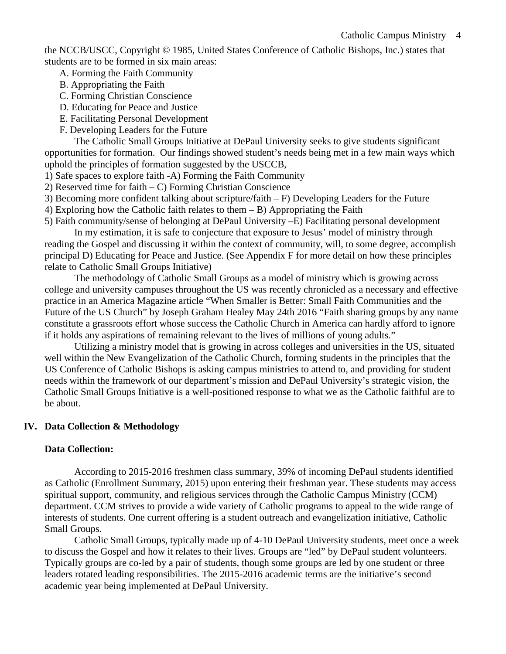the NCCB/USCC, Copyright © 1985, United States Conference of Catholic Bishops, Inc.) states that students are to be formed in six main areas:

A. Forming the Faith Community

- B. Appropriating the Faith
- C. Forming Christian Conscience
- D. Educating for Peace and Justice
- E. Facilitating Personal Development
- F. Developing Leaders for the Future

The Catholic Small Groups Initiative at DePaul University seeks to give students significant opportunities for formation. Our findings showed student's needs being met in a few main ways which uphold the principles of formation suggested by the USCCB,

- 1) Safe spaces to explore faith -A) Forming the Faith Community
- 2) Reserved time for faith C) Forming Christian Conscience
- 3) Becoming more confident talking about scripture/faith F) Developing Leaders for the Future
- 4) Exploring how the Catholic faith relates to them B) Appropriating the Faith

5) Faith community/sense of belonging at DePaul University –E) Facilitating personal development

In my estimation, it is safe to conjecture that exposure to Jesus' model of ministry through reading the Gospel and discussing it within the context of community, will, to some degree, accomplish principal D) Educating for Peace and Justice. (See Appendix F for more detail on how these principles relate to Catholic Small Groups Initiative)

The methodology of Catholic Small Groups as a model of ministry which is growing across college and university campuses throughout the US was recently chronicled as a necessary and effective practice in an America Magazine article "When Smaller is Better: Small Faith Communities and the Future of the US Church" by Joseph Graham Healey May 24th 2016 "Faith sharing groups by any name constitute a grassroots effort whose success the Catholic Church in America can hardly afford to ignore if it holds any aspirations of remaining relevant to the lives of millions of young adults."

Utilizing a ministry model that is growing in across colleges and universities in the US, situated well within the New Evangelization of the Catholic Church, forming students in the principles that the US Conference of Catholic Bishops is asking campus ministries to attend to, and providing for student needs within the framework of our department's mission and DePaul University's strategic vision, the Catholic Small Groups Initiative is a well-positioned response to what we as the Catholic faithful are to be about.

## **IV. Data Collection & Methodology**

#### **Data Collection:**

According to 2015-2016 freshmen class summary, 39% of incoming DePaul students identified as Catholic (Enrollment Summary, 2015) upon entering their freshman year. These students may access spiritual support, community, and religious services through the Catholic Campus Ministry (CCM) department. CCM strives to provide a wide variety of Catholic programs to appeal to the wide range of interests of students. One current offering is a student outreach and evangelization initiative, Catholic Small Groups.

Catholic Small Groups, typically made up of 4-10 DePaul University students, meet once a week to discuss the Gospel and how it relates to their lives. Groups are "led" by DePaul student volunteers. Typically groups are co-led by a pair of students, though some groups are led by one student or three leaders rotated leading responsibilities. The 2015-2016 academic terms are the initiative's second academic year being implemented at DePaul University.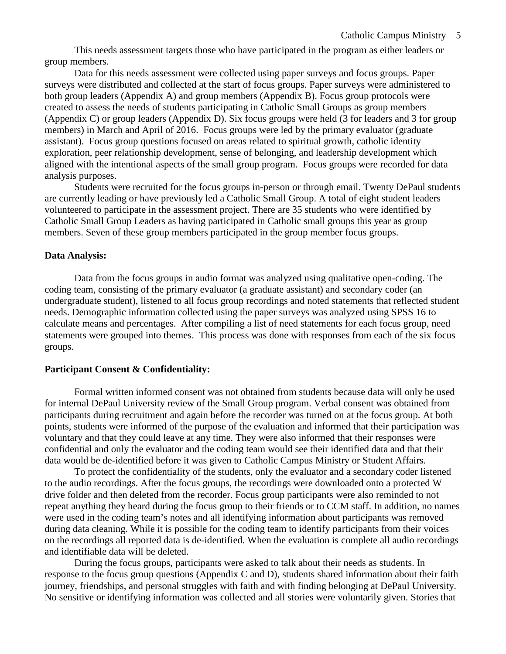This needs assessment targets those who have participated in the program as either leaders or group members.

Data for this needs assessment were collected using paper surveys and focus groups. Paper surveys were distributed and collected at the start of focus groups. Paper surveys were administered to both group leaders (Appendix A) and group members (Appendix B). Focus group protocols were created to assess the needs of students participating in Catholic Small Groups as group members (Appendix C) or group leaders (Appendix D). Six focus groups were held (3 for leaders and 3 for group members) in March and April of 2016. Focus groups were led by the primary evaluator (graduate assistant). Focus group questions focused on areas related to spiritual growth, catholic identity exploration, peer relationship development, sense of belonging, and leadership development which aligned with the intentional aspects of the small group program. Focus groups were recorded for data analysis purposes.

Students were recruited for the focus groups in-person or through email. Twenty DePaul students are currently leading or have previously led a Catholic Small Group. A total of eight student leaders volunteered to participate in the assessment project. There are 35 students who were identified by Catholic Small Group Leaders as having participated in Catholic small groups this year as group members. Seven of these group members participated in the group member focus groups.

#### **Data Analysis:**

Data from the focus groups in audio format was analyzed using qualitative open-coding. The coding team, consisting of the primary evaluator (a graduate assistant) and secondary coder (an undergraduate student), listened to all focus group recordings and noted statements that reflected student needs. Demographic information collected using the paper surveys was analyzed using SPSS 16 to calculate means and percentages. After compiling a list of need statements for each focus group, need statements were grouped into themes. This process was done with responses from each of the six focus groups.

#### **Participant Consent & Confidentiality:**

Formal written informed consent was not obtained from students because data will only be used for internal DePaul University review of the Small Group program. Verbal consent was obtained from participants during recruitment and again before the recorder was turned on at the focus group. At both points, students were informed of the purpose of the evaluation and informed that their participation was voluntary and that they could leave at any time. They were also informed that their responses were confidential and only the evaluator and the coding team would see their identified data and that their data would be de-identified before it was given to Catholic Campus Ministry or Student Affairs.

To protect the confidentiality of the students, only the evaluator and a secondary coder listened to the audio recordings. After the focus groups, the recordings were downloaded onto a protected W drive folder and then deleted from the recorder. Focus group participants were also reminded to not repeat anything they heard during the focus group to their friends or to CCM staff. In addition, no names were used in the coding team's notes and all identifying information about participants was removed during data cleaning. While it is possible for the coding team to identify participants from their voices on the recordings all reported data is de-identified. When the evaluation is complete all audio recordings and identifiable data will be deleted.

During the focus groups, participants were asked to talk about their needs as students. In response to the focus group questions (Appendix C and D), students shared information about their faith journey, friendships, and personal struggles with faith and with finding belonging at DePaul University. No sensitive or identifying information was collected and all stories were voluntarily given. Stories that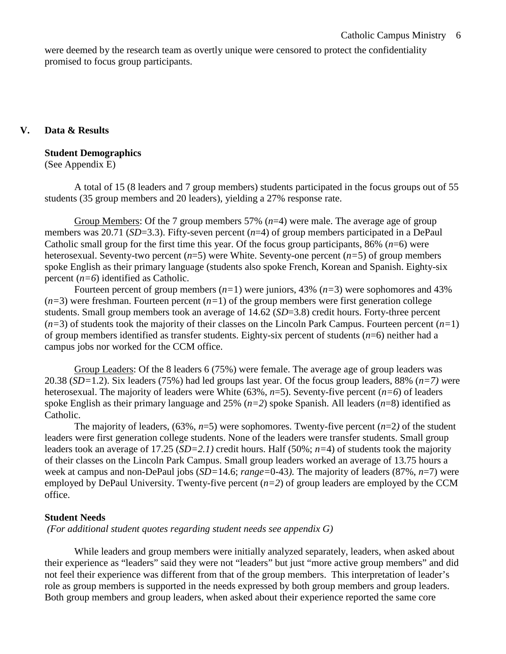were deemed by the research team as overtly unique were censored to protect the confidentiality promised to focus group participants.

### **V. Data & Results**

#### **Student Demographics**

(See Appendix E)

A total of 15 (8 leaders and 7 group members) students participated in the focus groups out of 55 students (35 group members and 20 leaders), yielding a 27% response rate.

Group Members: Of the 7 group members 57% (*n*=4) were male. The average age of group members was 20.71 (*SD*=3.3). Fifty-seven percent (*n*=4) of group members participated in a DePaul Catholic small group for the first time this year. Of the focus group participants,  $86\%$  ( $n=6$ ) were heterosexual. Seventy-two percent (*n*=5) were White. Seventy-one percent (*n=*5) of group members spoke English as their primary language (students also spoke French, Korean and Spanish. Eighty-six percent (*n=6*) identified as Catholic.

Fourteen percent of group members (*n=*1) were juniors, 43% (*n=*3) were sophomores and 43%  $(n=3)$  were freshman. Fourteen percent  $(n=1)$  of the group members were first generation college students. Small group members took an average of 14.62 (*SD*=3.8) credit hours. Forty-three percent (*n=*3) of students took the majority of their classes on the Lincoln Park Campus. Fourteen percent (*n=*1) of group members identified as transfer students. Eighty-six percent of students (*n*=6) neither had a campus jobs nor worked for the CCM office.

Group Leaders: Of the 8 leaders 6 (75%) were female. The average age of group leaders was 20.38 (*SD=*1.2). Six leaders (75%) had led groups last year. Of the focus group leaders, 88% (*n=7) w*ere heterosexual. The majority of leaders were White (63%, *n*=5). Seventy-five percent (*n=6*) of leaders spoke English as their primary language and 25% (*n=2*) spoke Spanish. All leaders (*n*=8) identified as Catholic.

The majority of leaders,  $(63\%, n=5)$  were sophomores. Twenty-five percent  $(n=2)$  of the student leaders were first generation college students. None of the leaders were transfer students. Small group leaders took an average of 17.25 (*SD=2.1)* credit hours. Half (50%; *n=*4) of students took the majority of their classes on the Lincoln Park Campus. Small group leaders worked an average of 13.75 hours a week at campus and non-DePaul jobs (*SD=*14.6; *range=*0-43*).* The majority of leaders (87%, *n*=7) were employed by DePaul University. Twenty-five percent (*n=2*) of group leaders are employed by the CCM office.

#### **Student Needs**

*(For additional student quotes regarding student needs see appendix G)*

While leaders and group members were initially analyzed separately, leaders, when asked about their experience as "leaders" said they were not "leaders" but just "more active group members" and did not feel their experience was different from that of the group members. This interpretation of leader's role as group members is supported in the needs expressed by both group members and group leaders. Both group members and group leaders, when asked about their experience reported the same core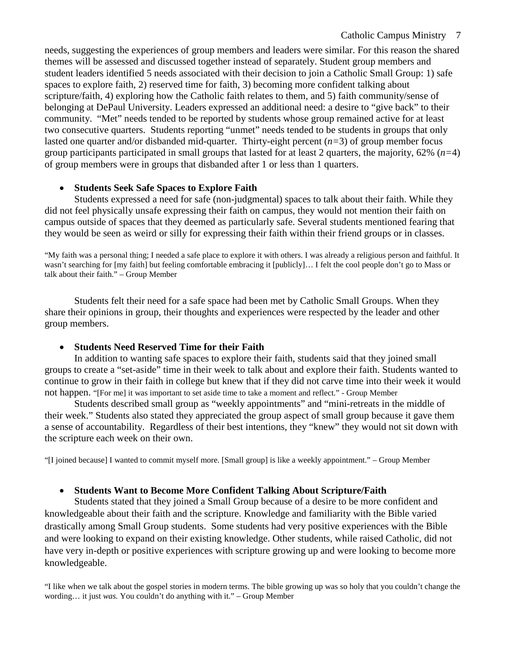needs, suggesting the experiences of group members and leaders were similar. For this reason the shared themes will be assessed and discussed together instead of separately. Student group members and student leaders identified 5 needs associated with their decision to join a Catholic Small Group: 1) safe spaces to explore faith, 2) reserved time for faith, 3) becoming more confident talking about scripture/faith, 4) exploring how the Catholic faith relates to them, and 5) faith community/sense of belonging at DePaul University. Leaders expressed an additional need: a desire to "give back" to their community. "Met" needs tended to be reported by students whose group remained active for at least two consecutive quarters. Students reporting "unmet" needs tended to be students in groups that only lasted one quarter and/or disbanded mid-quarter. Thirty-eight percent (*n=*3) of group member focus group participants participated in small groups that lasted for at least 2 quarters, the majority, 62% (*n=*4) of group members were in groups that disbanded after 1 or less than 1 quarters.

## • **Students Seek Safe Spaces to Explore Faith**

Students expressed a need for safe (non-judgmental) spaces to talk about their faith. While they did not feel physically unsafe expressing their faith on campus, they would not mention their faith on campus outside of spaces that they deemed as particularly safe. Several students mentioned fearing that they would be seen as weird or silly for expressing their faith within their friend groups or in classes.

"My faith was a personal thing; I needed a safe place to explore it with others. I was already a religious person and faithful. It wasn't searching for [my faith] but feeling comfortable embracing it [publicly]… I felt the cool people don't go to Mass or talk about their faith." – Group Member

Students felt their need for a safe space had been met by Catholic Small Groups. When they share their opinions in group, their thoughts and experiences were respected by the leader and other group members.

## • **Students Need Reserved Time for their Faith**

In addition to wanting safe spaces to explore their faith, students said that they joined small groups to create a "set-aside" time in their week to talk about and explore their faith. Students wanted to continue to grow in their faith in college but knew that if they did not carve time into their week it would not happen. "[For me] it was important to set aside time to take a moment and reflect." - Group Member

Students described small group as "weekly appointments" and "mini-retreats in the middle of their week." Students also stated they appreciated the group aspect of small group because it gave them a sense of accountability. Regardless of their best intentions, they "knew" they would not sit down with the scripture each week on their own.

"[I joined because] I wanted to commit myself more. [Small group] is like a weekly appointment." – Group Member

## • **Students Want to Become More Confident Talking About Scripture/Faith**

Students stated that they joined a Small Group because of a desire to be more confident and knowledgeable about their faith and the scripture. Knowledge and familiarity with the Bible varied drastically among Small Group students. Some students had very positive experiences with the Bible and were looking to expand on their existing knowledge. Other students, while raised Catholic, did not have very in-depth or positive experiences with scripture growing up and were looking to become more knowledgeable.

"I like when we talk about the gospel stories in modern terms. The bible growing up was so holy that you couldn't change the wording… it just *was.* You couldn't do anything with it." – Group Member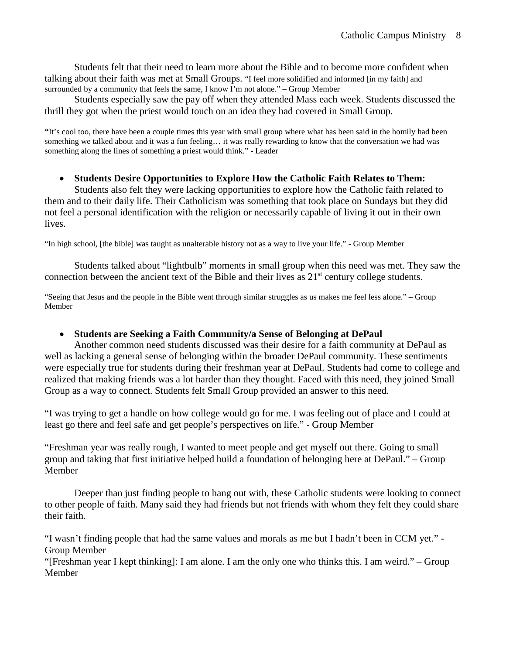Students felt that their need to learn more about the Bible and to become more confident when talking about their faith was met at Small Groups. "I feel more solidified and informed [in my faith] and surrounded by a community that feels the same, I know I'm not alone." – Group Member

Students especially saw the pay off when they attended Mass each week. Students discussed the thrill they got when the priest would touch on an idea they had covered in Small Group.

**"**It's cool too, there have been a couple times this year with small group where what has been said in the homily had been something we talked about and it was a fun feeling… it was really rewarding to know that the conversation we had was something along the lines of something a priest would think." - Leader

### • **Students Desire Opportunities to Explore How the Catholic Faith Relates to Them:**

Students also felt they were lacking opportunities to explore how the Catholic faith related to them and to their daily life. Their Catholicism was something that took place on Sundays but they did not feel a personal identification with the religion or necessarily capable of living it out in their own lives.

"In high school, [the bible] was taught as unalterable history not as a way to live your life." - Group Member

Students talked about "lightbulb" moments in small group when this need was met. They saw the connection between the ancient text of the Bible and their lives as  $21<sup>st</sup>$  century college students.

"Seeing that Jesus and the people in the Bible went through similar struggles as us makes me feel less alone." – Group Member

## • **Students are Seeking a Faith Community/a Sense of Belonging at DePaul**

Another common need students discussed was their desire for a faith community at DePaul as well as lacking a general sense of belonging within the broader DePaul community. These sentiments were especially true for students during their freshman year at DePaul. Students had come to college and realized that making friends was a lot harder than they thought. Faced with this need, they joined Small Group as a way to connect. Students felt Small Group provided an answer to this need.

"I was trying to get a handle on how college would go for me. I was feeling out of place and I could at least go there and feel safe and get people's perspectives on life." - Group Member

"Freshman year was really rough, I wanted to meet people and get myself out there. Going to small group and taking that first initiative helped build a foundation of belonging here at DePaul." – Group Member

Deeper than just finding people to hang out with, these Catholic students were looking to connect to other people of faith. Many said they had friends but not friends with whom they felt they could share their faith.

"I wasn't finding people that had the same values and morals as me but I hadn't been in CCM yet." - Group Member

"[Freshman year I kept thinking]: I am alone. I am the only one who thinks this. I am weird." – Group Member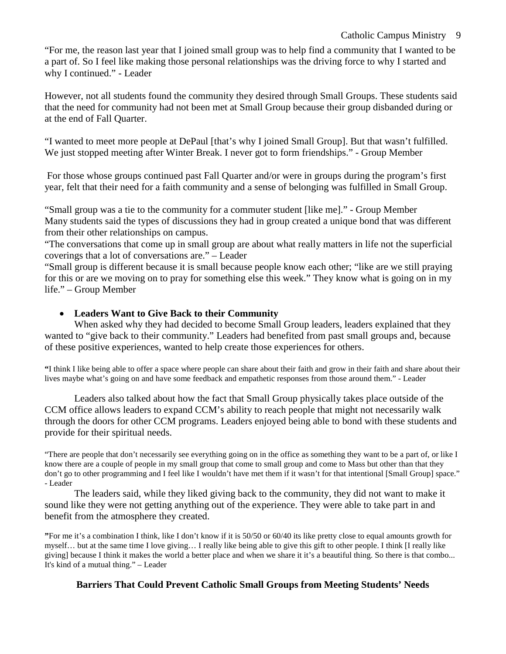"For me, the reason last year that I joined small group was to help find a community that I wanted to be a part of. So I feel like making those personal relationships was the driving force to why I started and why I continued." - Leader

However, not all students found the community they desired through Small Groups. These students said that the need for community had not been met at Small Group because their group disbanded during or at the end of Fall Quarter.

"I wanted to meet more people at DePaul [that's why I joined Small Group]. But that wasn't fulfilled. We just stopped meeting after Winter Break. I never got to form friendships." - Group Member

For those whose groups continued past Fall Quarter and/or were in groups during the program's first year, felt that their need for a faith community and a sense of belonging was fulfilled in Small Group.

"Small group was a tie to the community for a commuter student [like me]." - Group Member Many students said the types of discussions they had in group created a unique bond that was different from their other relationships on campus.

"The conversations that come up in small group are about what really matters in life not the superficial coverings that a lot of conversations are." – Leader

"Small group is different because it is small because people know each other; "like are we still praying for this or are we moving on to pray for something else this week." They know what is going on in my life." – Group Member

# • **Leaders Want to Give Back to their Community**

When asked why they had decided to become Small Group leaders, leaders explained that they wanted to "give back to their community." Leaders had benefited from past small groups and, because of these positive experiences, wanted to help create those experiences for others.

**"**I think I like being able to offer a space where people can share about their faith and grow in their faith and share about their lives maybe what's going on and have some feedback and empathetic responses from those around them." - Leader

Leaders also talked about how the fact that Small Group physically takes place outside of the CCM office allows leaders to expand CCM's ability to reach people that might not necessarily walk through the doors for other CCM programs. Leaders enjoyed being able to bond with these students and provide for their spiritual needs.

"There are people that don't necessarily see everything going on in the office as something they want to be a part of, or like I know there are a couple of people in my small group that come to small group and come to Mass but other than that they don't go to other programming and I feel like I wouldn't have met them if it wasn't for that intentional [Small Group] space." - Leader

The leaders said, while they liked giving back to the community, they did not want to make it sound like they were not getting anything out of the experience. They were able to take part in and benefit from the atmosphere they created.

**"**For me it's a combination I think, like I don't know if it is 50/50 or 60/40 its like pretty close to equal amounts growth for myself… but at the same time I love giving… I really like being able to give this gift to other people. I think [I really like giving] because I think it makes the world a better place and when we share it it's a beautiful thing. So there is that combo... It's kind of a mutual thing." – Leader

## **Barriers That Could Prevent Catholic Small Groups from Meeting Students' Needs**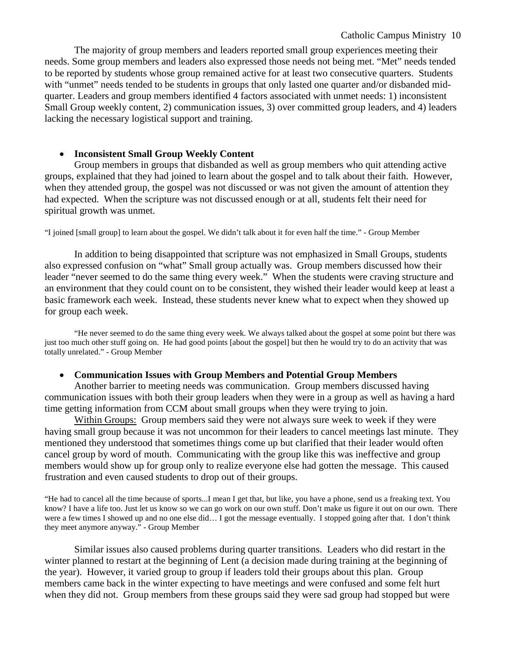The majority of group members and leaders reported small group experiences meeting their needs. Some group members and leaders also expressed those needs not being met. "Met" needs tended to be reported by students whose group remained active for at least two consecutive quarters. Students with "unmet" needs tended to be students in groups that only lasted one quarter and/or disbanded midquarter. Leaders and group members identified 4 factors associated with unmet needs: 1) inconsistent Small Group weekly content, 2) communication issues, 3) over committed group leaders, and 4) leaders lacking the necessary logistical support and training.

### • **Inconsistent Small Group Weekly Content**

Group members in groups that disbanded as well as group members who quit attending active groups, explained that they had joined to learn about the gospel and to talk about their faith. However, when they attended group, the gospel was not discussed or was not given the amount of attention they had expected. When the scripture was not discussed enough or at all, students felt their need for spiritual growth was unmet.

"I joined [small group] to learn about the gospel. We didn't talk about it for even half the time." - Group Member

In addition to being disappointed that scripture was not emphasized in Small Groups, students also expressed confusion on "what" Small group actually was. Group members discussed how their leader "never seemed to do the same thing every week." When the students were craving structure and an environment that they could count on to be consistent, they wished their leader would keep at least a basic framework each week. Instead, these students never knew what to expect when they showed up for group each week.

"He never seemed to do the same thing every week. We always talked about the gospel at some point but there was just too much other stuff going on. He had good points [about the gospel] but then he would try to do an activity that was totally unrelated." - Group Member

#### • **Communication Issues with Group Members and Potential Group Members**

Another barrier to meeting needs was communication. Group members discussed having communication issues with both their group leaders when they were in a group as well as having a hard time getting information from CCM about small groups when they were trying to join.

Within Groups: Group members said they were not always sure week to week if they were having small group because it was not uncommon for their leaders to cancel meetings last minute. They mentioned they understood that sometimes things come up but clarified that their leader would often cancel group by word of mouth. Communicating with the group like this was ineffective and group members would show up for group only to realize everyone else had gotten the message. This caused frustration and even caused students to drop out of their groups.

"He had to cancel all the time because of sports...I mean I get that, but like, you have a phone, send us a freaking text. You know? I have a life too. Just let us know so we can go work on our own stuff. Don't make us figure it out on our own. There were a few times I showed up and no one else did… I got the message eventually. I stopped going after that. I don't think they meet anymore anyway." - Group Member

Similar issues also caused problems during quarter transitions. Leaders who did restart in the winter planned to restart at the beginning of Lent (a decision made during training at the beginning of the year). However, it varied group to group if leaders told their groups about this plan. Group members came back in the winter expecting to have meetings and were confused and some felt hurt when they did not. Group members from these groups said they were sad group had stopped but were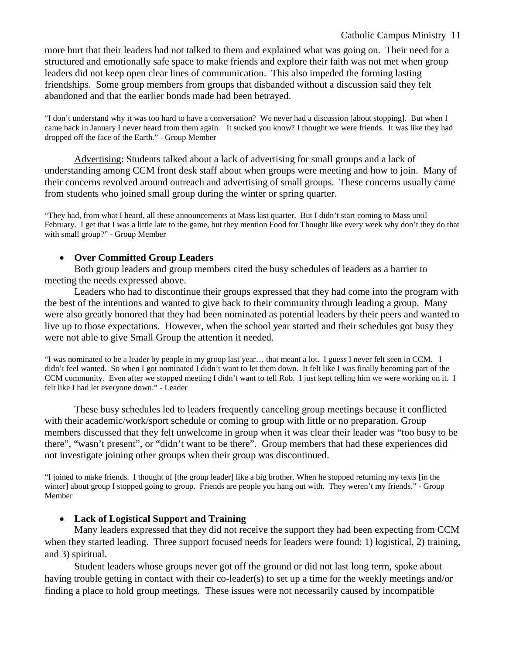#### Catholic Campus Ministry 11

more hurt that their leaders had not talked to them and explained what was going on. Their need for a structured and emotionally safe space to make friends and explore their faith was not met when group leaders did not keep open clear lines of communication. This also impeded the forming lasting friendships. Some group members from groups that disbanded without a discussion said they felt abandoned and that the earlier bonds made had been betrayed.

"I don't understand why it was too hard to have a conversation? We never had a discussion [about stopping]. But when I came back in January I never heard from them again. It sucked you know? I thought we were friends. It was like they had dropped off the face of the Earth." - Group Member

Advertising: Students talked about a lack of advertising for small groups and a lack of understanding among CCM front desk staff about when groups were meeting and how to join. Many of their concerns revolved around outreach and advertising of small groups. These concerns usually came from students who joined small group during the winter or spring quarter.

"They had, from what I heard, all these announcements at Mass last quarter. But I didn't start coming to Mass until February. I get that I was a little late to the game, but they mention Food for Thought like every week why don't they do that with small group?" - Group Member

### • **Over Committed Group Leaders**

Both group leaders and group members cited the busy schedules of leaders as a barrier to meeting the needs expressed above.

Leaders who had to discontinue their groups expressed that they had come into the program with the best of the intentions and wanted to give back to their community through leading a group. Many were also greatly honored that they had been nominated as potential leaders by their peers and wanted to live up to those expectations. However, when the school year started and their schedules got busy they were not able to give Small Group the attention it needed.

"I was nominated to be a leader by people in my group last year… that meant a lot. I guess I never felt seen in CCM. I didn't feel wanted. So when I got nominated I didn't want to let them down. It felt like I was finally becoming part of the CCM community. Even after we stopped meeting I didn't want to tell Rob. I just kept telling him we were working on it. I felt like I had let everyone down." - Leader

These busy schedules led to leaders frequently canceling group meetings because it conflicted with their academic/work/sport schedule or coming to group with little or no preparation. Group members discussed that they felt unwelcome in group when it was clear their leader was "too busy to be there", "wasn't present", or "didn't want to be there". Group members that had these experiences did not investigate joining other groups when their group was discontinued.

"I joined to make friends. I thought of [the group leader] like a big brother. When he stopped returning my texts [in the winter] about group I stopped going to group. Friends are people you hang out with. They weren't my friends." - Group Member

#### • **Lack of Logistical Support and Training**

Many leaders expressed that they did not receive the support they had been expecting from CCM when they started leading. Three support focused needs for leaders were found: 1) logistical, 2) training, and 3) spiritual.

Student leaders whose groups never got off the ground or did not last long term, spoke about having trouble getting in contact with their co-leader(s) to set up a time for the weekly meetings and/or finding a place to hold group meetings. These issues were not necessarily caused by incompatible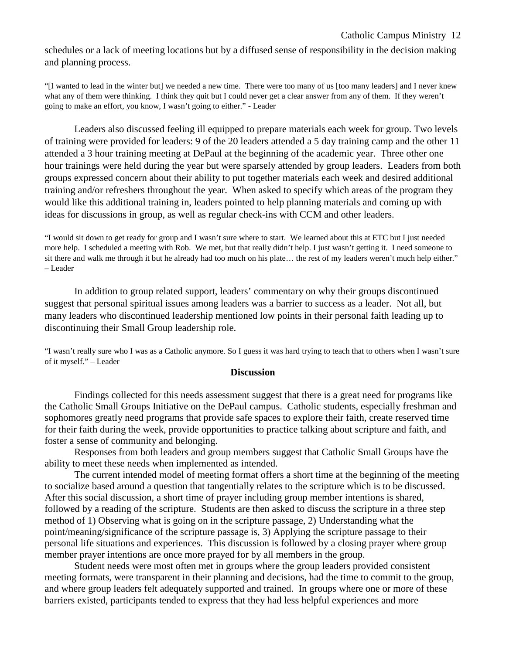schedules or a lack of meeting locations but by a diffused sense of responsibility in the decision making and planning process.

"[I wanted to lead in the winter but] we needed a new time. There were too many of us [too many leaders] and I never knew what any of them were thinking. I think they quit but I could never get a clear answer from any of them. If they weren't going to make an effort, you know, I wasn't going to either." - Leader

Leaders also discussed feeling ill equipped to prepare materials each week for group. Two levels of training were provided for leaders: 9 of the 20 leaders attended a 5 day training camp and the other 11 attended a 3 hour training meeting at DePaul at the beginning of the academic year. Three other one hour trainings were held during the year but were sparsely attended by group leaders. Leaders from both groups expressed concern about their ability to put together materials each week and desired additional training and/or refreshers throughout the year. When asked to specify which areas of the program they would like this additional training in, leaders pointed to help planning materials and coming up with ideas for discussions in group, as well as regular check-ins with CCM and other leaders.

"I would sit down to get ready for group and I wasn't sure where to start. We learned about this at ETC but I just needed more help. I scheduled a meeting with Rob. We met, but that really didn't help. I just wasn't getting it. I need someone to sit there and walk me through it but he already had too much on his plate… the rest of my leaders weren't much help either." – Leader

In addition to group related support, leaders' commentary on why their groups discontinued suggest that personal spiritual issues among leaders was a barrier to success as a leader. Not all, but many leaders who discontinued leadership mentioned low points in their personal faith leading up to discontinuing their Small Group leadership role.

"I wasn't really sure who I was as a Catholic anymore. So I guess it was hard trying to teach that to others when I wasn't sure of it myself." – Leader

#### **Discussion**

Findings collected for this needs assessment suggest that there is a great need for programs like the Catholic Small Groups Initiative on the DePaul campus. Catholic students, especially freshman and sophomores greatly need programs that provide safe spaces to explore their faith, create reserved time for their faith during the week, provide opportunities to practice talking about scripture and faith, and foster a sense of community and belonging.

Responses from both leaders and group members suggest that Catholic Small Groups have the ability to meet these needs when implemented as intended.

The current intended model of meeting format offers a short time at the beginning of the meeting to socialize based around a question that tangentially relates to the scripture which is to be discussed. After this social discussion, a short time of prayer including group member intentions is shared, followed by a reading of the scripture. Students are then asked to discuss the scripture in a three step method of 1) Observing what is going on in the scripture passage, 2) Understanding what the point/meaning/significance of the scripture passage is, 3) Applying the scripture passage to their personal life situations and experiences. This discussion is followed by a closing prayer where group member prayer intentions are once more prayed for by all members in the group.

Student needs were most often met in groups where the group leaders provided consistent meeting formats, were transparent in their planning and decisions, had the time to commit to the group, and where group leaders felt adequately supported and trained. In groups where one or more of these barriers existed, participants tended to express that they had less helpful experiences and more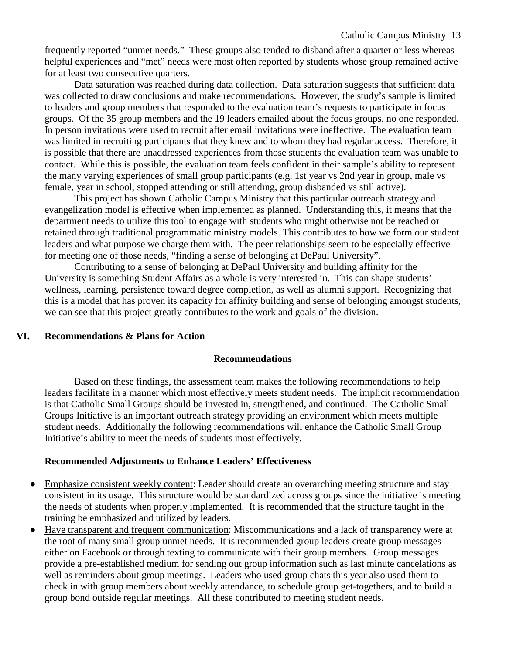frequently reported "unmet needs." These groups also tended to disband after a quarter or less whereas helpful experiences and "met" needs were most often reported by students whose group remained active for at least two consecutive quarters.

Data saturation was reached during data collection. Data saturation suggests that sufficient data was collected to draw conclusions and make recommendations. However, the study's sample is limited to leaders and group members that responded to the evaluation team's requests to participate in focus groups. Of the 35 group members and the 19 leaders emailed about the focus groups, no one responded. In person invitations were used to recruit after email invitations were ineffective. The evaluation team was limited in recruiting participants that they knew and to whom they had regular access. Therefore, it is possible that there are unaddressed experiences from those students the evaluation team was unable to contact. While this is possible, the evaluation team feels confident in their sample's ability to represent the many varying experiences of small group participants (e.g. 1st year vs 2nd year in group, male vs female, year in school, stopped attending or still attending, group disbanded vs still active).

This project has shown Catholic Campus Ministry that this particular outreach strategy and evangelization model is effective when implemented as planned. Understanding this, it means that the department needs to utilize this tool to engage with students who might otherwise not be reached or retained through traditional programmatic ministry models. This contributes to how we form our student leaders and what purpose we charge them with. The peer relationships seem to be especially effective for meeting one of those needs, "finding a sense of belonging at DePaul University".

Contributing to a sense of belonging at DePaul University and building affinity for the University is something Student Affairs as a whole is very interested in. This can shape students' wellness, learning, persistence toward degree completion, as well as alumni support. Recognizing that this is a model that has proven its capacity for affinity building and sense of belonging amongst students, we can see that this project greatly contributes to the work and goals of the division.

#### **VI. Recommendations & Plans for Action**

#### **Recommendations**

Based on these findings, the assessment team makes the following recommendations to help leaders facilitate in a manner which most effectively meets student needs. The implicit recommendation is that Catholic Small Groups should be invested in, strengthened, and continued. The Catholic Small Groups Initiative is an important outreach strategy providing an environment which meets multiple student needs. Additionally the following recommendations will enhance the Catholic Small Group Initiative's ability to meet the needs of students most effectively.

#### **Recommended Adjustments to Enhance Leaders' Effectiveness**

- Emphasize consistent weekly content: Leader should create an overarching meeting structure and stay consistent in its usage. This structure would be standardized across groups since the initiative is meeting the needs of students when properly implemented. It is recommended that the structure taught in the training be emphasized and utilized by leaders.
- Have transparent and frequent communication: Miscommunications and a lack of transparency were at the root of many small group unmet needs. It is recommended group leaders create group messages either on Facebook or through texting to communicate with their group members. Group messages provide a pre-established medium for sending out group information such as last minute cancelations as well as reminders about group meetings. Leaders who used group chats this year also used them to check in with group members about weekly attendance, to schedule group get-togethers, and to build a group bond outside regular meetings. All these contributed to meeting student needs.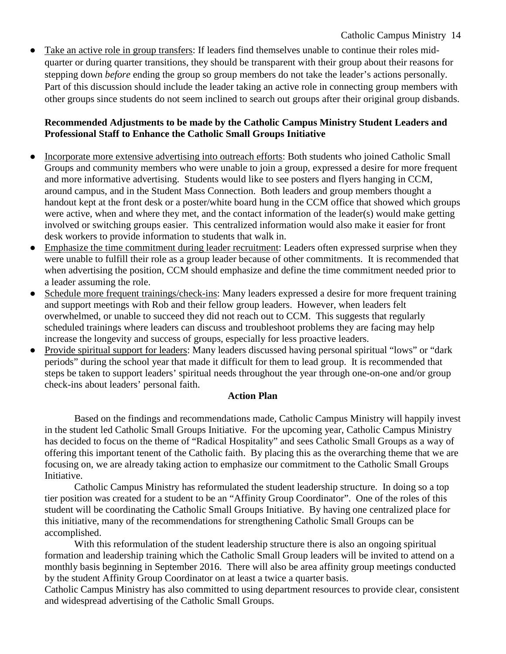Take an active role in group transfers: If leaders find themselves unable to continue their roles midquarter or during quarter transitions, they should be transparent with their group about their reasons for stepping down *before* ending the group so group members do not take the leader's actions personally. Part of this discussion should include the leader taking an active role in connecting group members with other groups since students do not seem inclined to search out groups after their original group disbands.

## **Recommended Adjustments to be made by the Catholic Campus Ministry Student Leaders and Professional Staff to Enhance the Catholic Small Groups Initiative**

- Incorporate more extensive advertising into outreach efforts: Both students who joined Catholic Small Groups and community members who were unable to join a group, expressed a desire for more frequent and more informative advertising. Students would like to see posters and flyers hanging in CCM, around campus, and in the Student Mass Connection. Both leaders and group members thought a handout kept at the front desk or a poster/white board hung in the CCM office that showed which groups were active, when and where they met, and the contact information of the leader(s) would make getting involved or switching groups easier. This centralized information would also make it easier for front desk workers to provide information to students that walk in.
- Emphasize the time commitment during leader recruitment: Leaders often expressed surprise when they were unable to fulfill their role as a group leader because of other commitments. It is recommended that when advertising the position, CCM should emphasize and define the time commitment needed prior to a leader assuming the role.
- Schedule more frequent trainings/check-ins: Many leaders expressed a desire for more frequent training and support meetings with Rob and their fellow group leaders. However, when leaders felt overwhelmed, or unable to succeed they did not reach out to CCM. This suggests that regularly scheduled trainings where leaders can discuss and troubleshoot problems they are facing may help increase the longevity and success of groups, especially for less proactive leaders.
- Provide spiritual support for leaders: Many leaders discussed having personal spiritual "lows" or "dark" periods" during the school year that made it difficult for them to lead group. It is recommended that steps be taken to support leaders' spiritual needs throughout the year through one-on-one and/or group check-ins about leaders' personal faith.

## **Action Plan**

Based on the findings and recommendations made, Catholic Campus Ministry will happily invest in the student led Catholic Small Groups Initiative. For the upcoming year, Catholic Campus Ministry has decided to focus on the theme of "Radical Hospitality" and sees Catholic Small Groups as a way of offering this important tenent of the Catholic faith. By placing this as the overarching theme that we are focusing on, we are already taking action to emphasize our commitment to the Catholic Small Groups Initiative.

Catholic Campus Ministry has reformulated the student leadership structure. In doing so a top tier position was created for a student to be an "Affinity Group Coordinator". One of the roles of this student will be coordinating the Catholic Small Groups Initiative. By having one centralized place for this initiative, many of the recommendations for strengthening Catholic Small Groups can be accomplished.

With this reformulation of the student leadership structure there is also an ongoing spiritual formation and leadership training which the Catholic Small Group leaders will be invited to attend on a monthly basis beginning in September 2016. There will also be area affinity group meetings conducted by the student Affinity Group Coordinator on at least a twice a quarter basis.

Catholic Campus Ministry has also committed to using department resources to provide clear, consistent and widespread advertising of the Catholic Small Groups.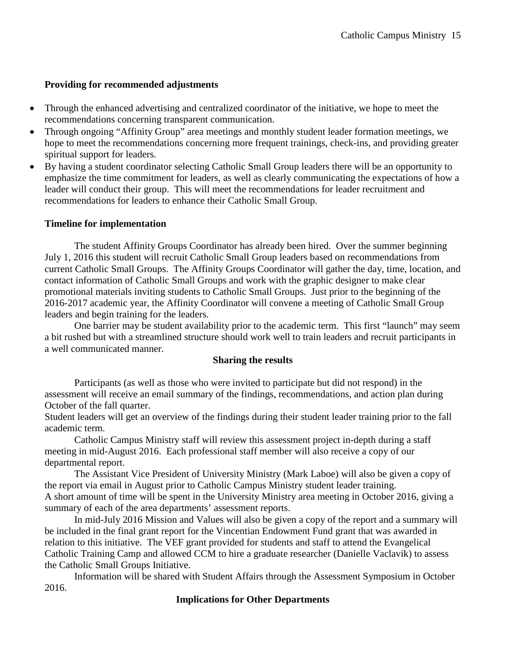## **Providing for recommended adjustments**

- Through the enhanced advertising and centralized coordinator of the initiative, we hope to meet the recommendations concerning transparent communication.
- Through ongoing "Affinity Group" area meetings and monthly student leader formation meetings, we hope to meet the recommendations concerning more frequent trainings, check-ins, and providing greater spiritual support for leaders.
- By having a student coordinator selecting Catholic Small Group leaders there will be an opportunity to emphasize the time commitment for leaders, as well as clearly communicating the expectations of how a leader will conduct their group. This will meet the recommendations for leader recruitment and recommendations for leaders to enhance their Catholic Small Group.

## **Timeline for implementation**

The student Affinity Groups Coordinator has already been hired. Over the summer beginning July 1, 2016 this student will recruit Catholic Small Group leaders based on recommendations from current Catholic Small Groups. The Affinity Groups Coordinator will gather the day, time, location, and contact information of Catholic Small Groups and work with the graphic designer to make clear promotional materials inviting students to Catholic Small Groups. Just prior to the beginning of the 2016-2017 academic year, the Affinity Coordinator will convene a meeting of Catholic Small Group leaders and begin training for the leaders.

One barrier may be student availability prior to the academic term. This first "launch" may seem a bit rushed but with a streamlined structure should work well to train leaders and recruit participants in a well communicated manner.

## **Sharing the results**

Participants (as well as those who were invited to participate but did not respond) in the assessment will receive an email summary of the findings, recommendations, and action plan during October of the fall quarter.

Student leaders will get an overview of the findings during their student leader training prior to the fall academic term.

Catholic Campus Ministry staff will review this assessment project in-depth during a staff meeting in mid-August 2016. Each professional staff member will also receive a copy of our departmental report.

The Assistant Vice President of University Ministry (Mark Laboe) will also be given a copy of the report via email in August prior to Catholic Campus Ministry student leader training. A short amount of time will be spent in the University Ministry area meeting in October 2016, giving a summary of each of the area departments' assessment reports.

In mid-July 2016 Mission and Values will also be given a copy of the report and a summary will be included in the final grant report for the Vincentian Endowment Fund grant that was awarded in relation to this initiative. The VEF grant provided for students and staff to attend the Evangelical Catholic Training Camp and allowed CCM to hire a graduate researcher (Danielle Vaclavik) to assess the Catholic Small Groups Initiative.

Information will be shared with Student Affairs through the Assessment Symposium in October 2016.

# **Implications for Other Departments**